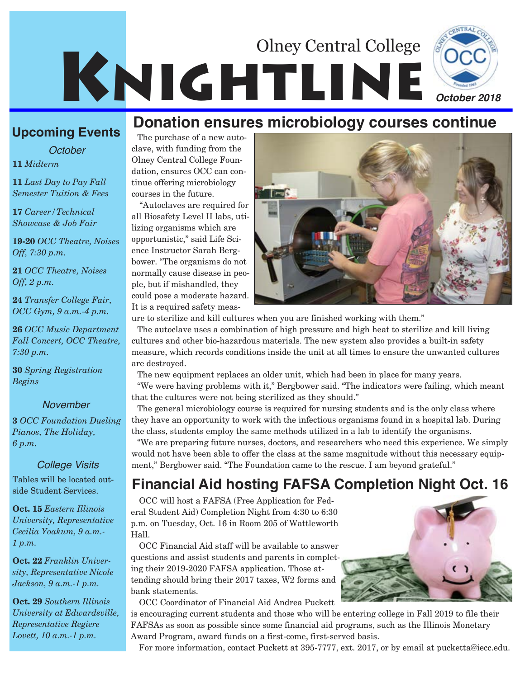# KNIGHTLINE Olney Central College



## **Upcoming Events Donation ensures microbiology courses continue**

*October*

**11** *Midterm*

**11** *Last Day to Pay Fall Semester Tuition & Fees*

**17** *Career/Technical Showcase & Job Fair*

**19-20** *OCC Theatre, Noises Off, 7:30 p.m.*

**21** *OCC Theatre, Noises Off, 2 p.m.*

**24** *Transfer College Fair, OCC Gym, 9 a.m.-4 p.m.*

**26** *OCC Music Department Fall Concert, OCC Theatre, 7:30 p.m.*

**30** *Spring Registration Begins*

#### *November*

**3** *OCC Foundation Dueling Pianos, The Holiday, 6 p.m.*

Tables will be located outside Student Services.

**Oct. 15** *Eastern Illinois University, Representative Cecilia Yoakum, 9 a.m.- 1 p.m.*

**Oct. 22** *Franklin University, Representative Nicole Jackson, 9 a.m.-1 p.m.*

**Oct. 29** *Southern Illinois University at Edwardsville, Representative Regiere Lovett, 10 a.m.-1 p.m.*

The purchase of a new autoclave, with funding from the Olney Central College Foundation, ensures OCC can continue offering microbiology courses in the future.

"Autoclaves are required for all Biosafety Level II labs, utilizing organisms which are opportunistic," said Life Science Instructor Sarah Bergbower. "The organisms do not normally cause disease in people, but if mishandled, they could pose a moderate hazard. It is a required safety meas-



ure to sterilize and kill cultures when you are finished working with them."

The autoclave uses a combination of high pressure and high heat to sterilize and kill living cultures and other bio-hazardous materials. The new system also provides a built-in safety measure, which records conditions inside the unit at all times to ensure the unwanted cultures are destroyed.

The new equipment replaces an older unit, which had been in place for many years.

"We were having problems with it," Bergbower said. "The indicators were failing, which meant that the cultures were not being sterilized as they should."

The general microbiology course is required for nursing students and is the only class where they have an opportunity to work with the infectious organisms found in a hospital lab. During the class, students employ the same methods utilized in a lab to identify the organisms.

"We are preparing future nurses, doctors, and researchers who need this experience. We simply would not have been able to offer the class at the same magnitude without this necessary equip-*College Visits* ment," Bergbower said. "The Foundation came to the rescue. I am beyond grateful."

## **Financial Aid hosting FAFSA Completion Night Oct. 16**

OCC will host a FAFSA (Free Application for Federal Student Aid) Completion Night from 4:30 to 6:30 p.m. on Tuesday, Oct. 16 in Room 205 of Wattleworth Hall.

OCC Financial Aid staff will be available to answer questions and assist students and parents in completing their 2019-2020 FAFSA application. Those attending should bring their 2017 taxes, W2 forms and bank statements.

OCC Coordinator of Financial Aid Andrea Puckett is encouraging current students and those who will be entering college in Fall 2019 to file their FAFSAs as soon as possible since some financial aid programs, such as the Illinois Monetary Award Program, award funds on a first-come, first-served basis.

For more information, contact Puckett at 395-7777, ext. 2017, or by email at pucketta@iecc.edu.

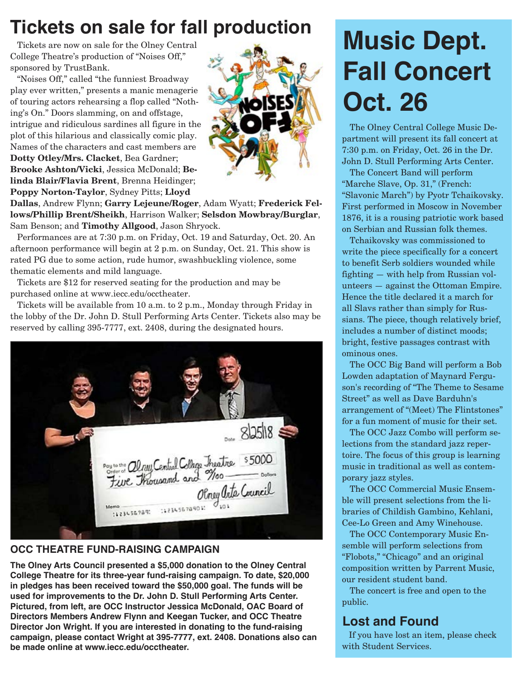## **Tickets on sale for fall production**

Tickets are now on sale for the Olney Central College Theatre's production of "Noises Off," sponsored by TrustBank.

"Noises Off," called "the funniest Broadway play ever written," presents a manic menagerie of touring actors rehearsing a flop called "Nothing's On." Doors slamming, on and offstage, intrigue and ridiculous sardines all figure in the plot of this hilarious and classically comic play. Names of the characters and cast members are **Dotty Otley/Mrs. Clacket**, Bea Gardner; **Brooke Ashton/Vicki**, Jessica McDonald; **Belinda Blair/Flavia Brent**, Brenna Heidinger; **Poppy Norton-Taylor**, Sydney Pitts; **Lloyd**



**Dallas**, Andrew Flynn; **Garry Lejeune/Roger**, Adam Wyatt; **Frederick Fellows/Phillip Brent/Sheikh**, Harrison Walker; **Selsdon Mowbray/Burglar**, Sam Benson; and **Timothy Allgood**, Jason Shryock.

Performances are at 7:30 p.m. on Friday, Oct. 19 and Saturday, Oct. 20. An afternoon performance will begin at 2 p.m. on Sunday, Oct. 21. This show is rated PG due to some action, rude humor, swashbuckling violence, some thematic elements and mild language.

Tickets are \$12 for reserved seating for the production and may be purchased online at www.iecc.edu/occtheater.

Tickets will be available from 10 a.m. to 2 p.m., Monday through Friday in the lobby of the Dr. John D. Stull Performing Arts Center. Tickets also may be reserved by calling 395-7777, ext. 2408, during the designated hours.



#### **OCC THEATRE FUND-RAISING CAMPAIGN**

**The Olney Arts Council presented a \$5,000 donation to the Olney Central College Theatre for its three-year fund-raising campaign. To date, \$20,000 in pledges has been received toward the \$50,000 goal. The funds will be used for improvements to the Dr. John D. Stull Performing Arts Center. Pictured, from left, are OCC Instructor Jessica McDonald, OAC Board of Directors Members Andrew Flynn and Keegan Tucker, and OCC Theatre Director Jon Wright. If you are interested in donating to the fund-raising campaign, please contact Wright at 395-7777, ext. 2408. Donations also can be made online at www.iecc.edu/occtheater.**

## **Music Dept. Fall Concert Oct. 26**

The Olney Central College Music Department will present its fall concert at 7:30 p.m. on Friday, Oct. 26 in the Dr. John D. Stull Performing Arts Center.

The Concert Band will perform "Marche Slave, Op. 31," (French: "Slavonic March") by Pyotr Tchaikovsky. First performed in Moscow in November 1876, it is a rousing patriotic work based on Serbian and Russian folk themes.

Tchaikovsky was commissioned to write the piece specifically for a concert to benefit Serb soldiers wounded while fighting — with help from Russian volunteers — against the Ottoman Empire. Hence the title declared it a march for all Slavs rather than simply for Russians. The piece, though relatively brief, includes a number of distinct moods; bright, festive passages contrast with ominous ones.

The OCC Big Band will perform a Bob Lowden adaptation of Maynard Ferguson's recording of "The Theme to Sesame Street" as well as Dave Barduhn's arrangement of "(Meet) The Flintstones" for a fun moment of music for their set.

The OCC Jazz Combo will perform selections from the standard jazz repertoire. The focus of this group is learning music in traditional as well as contemporary jazz styles.

The OCC Commercial Music Ensemble will present selections from the libraries of Childish Gambino, Kehlani, Cee-Lo Green and Amy Winehouse.

The OCC Contemporary Music Ensemble will perform selections from "Flobots," "Chicago" and an original composition written by Parrent Music, our resident student band.

The concert is free and open to the public.

### **Lost and Found**

If you have lost an item, please check with Student Services.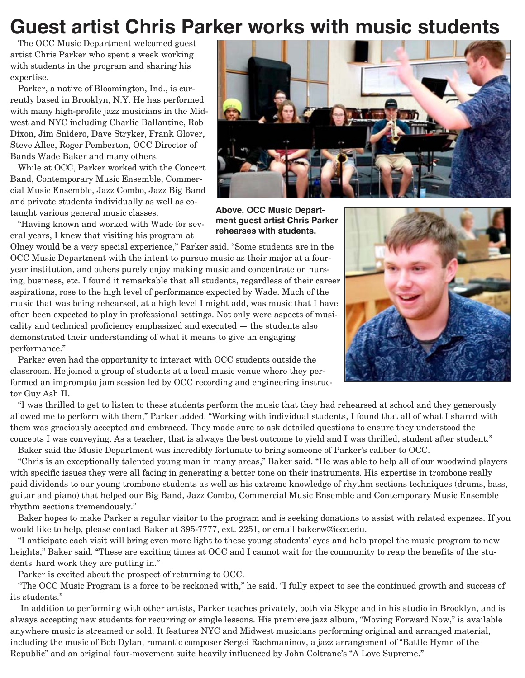## **Guest artist Chris Parker works with music students**

The OCC Music Department welcomed guest artist Chris Parker who spent a week working with students in the program and sharing his expertise.

Parker, a native of Bloomington, Ind., is currently based in Brooklyn, N.Y. He has performed with many high-profile jazz musicians in the Midwest and NYC including Charlie Ballantine, Rob Dixon, Jim Snidero, Dave Stryker, Frank Glover, Steve Allee, Roger Pemberton, OCC Director of Bands Wade Baker and many others.

While at OCC, Parker worked with the Concert Band, Contemporary Music Ensemble, Commercial Music Ensemble, Jazz Combo, Jazz Big Band and private students individually as well as cotaught various general music classes.

"Having known and worked with Wade for several years, I knew that visiting his program at

Olney would be a very special experience," Parker said. "Some students are in the OCC Music Department with the intent to pursue music as their major at a fouryear institution, and others purely enjoy making music and concentrate on nursing, business, etc. I found it remarkable that all students, regardless of their career aspirations, rose to the high level of performance expected by Wade. Much of the music that was being rehearsed, at a high level I might add, was music that I have often been expected to play in professional settings. Not only were aspects of musicality and technical proficiency emphasized and executed — the students also demonstrated their understanding of what it means to give an engaging performance."

Parker even had the opportunity to interact with OCC students outside the classroom. He joined a group of students at a local music venue where they performed an impromptu jam session led by OCC recording and engineering instructor Guy Ash II.

"I was thrilled to get to listen to these students perform the music that they had rehearsed at school and they generously allowed me to perform with them," Parker added. "Working with individual students, I found that all of what I shared with them was graciously accepted and embraced. They made sure to ask detailed questions to ensure they understood the concepts I was conveying. As a teacher, that is always the best outcome to yield and I was thrilled, student after student."

Baker said the Music Department was incredibly fortunate to bring someone of Parker's caliber to OCC. "Chris is an exceptionally talented young man in many areas," Baker said. "He was able to help all of our woodwind players with specific issues they were all facing in generating a better tone on their instruments. His expertise in trombone really paid dividends to our young trombone students as well as his extreme knowledge of rhythm sections techniques (drums, bass, guitar and piano) that helped our Big Band, Jazz Combo, Commercial Music Ensemble and Contemporary Music Ensemble rhythm sections tremendously."

Baker hopes to make Parker a regular visitor to the program and is seeking donations to assist with related expenses. If you would like to help, please contact Baker at 395-7777, ext. 2251, or email bakerw@iecc.edu.

"I anticipate each visit will bring even more light to these young students' eyes and help propel the music program to new heights," Baker said. "These are exciting times at OCC and I cannot wait for the community to reap the benefits of the students' hard work they are putting in."

Parker is excited about the prospect of returning to OCC.

"The OCC Music Program is a force to be reckoned with," he said. "I fully expect to see the continued growth and success of its students."

In addition to performing with other artists, Parker teaches privately, both via Skype and in his studio in Brooklyn, and is always accepting new students for recurring or single lessons. His premiere jazz album, "Moving Forward Now," is available anywhere music is streamed or sold. It features NYC and Midwest musicians performing original and arranged material, including the music of Bob Dylan, romantic composer Sergei Rachmaninov, a jazz arrangement of "Battle Hymn of the Republic" and an original four-movement suite heavily influenced by John Coltrane's "A Love Supreme."



**Above, OCC Music Department guest artist Chris Parker rehearses with students.** 

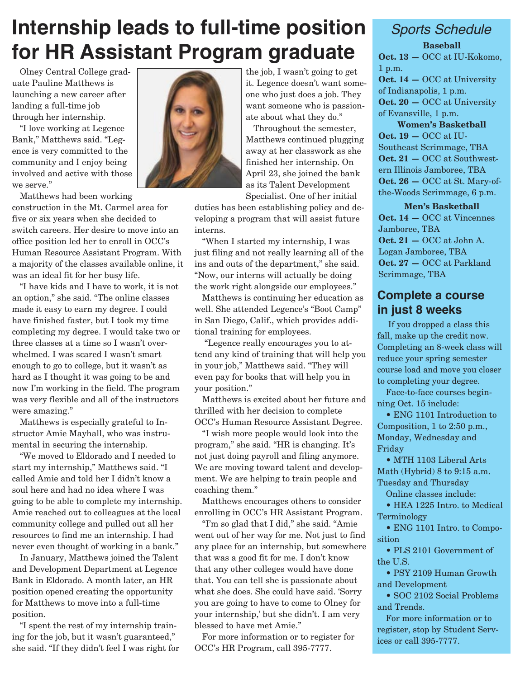## **Internship leads to full-time position for HR Assistant Program graduate**

Olney Central College graduate Pauline Matthews is launching a new career after landing a full-time job through her internship.

"I love working at Legence Bank," Matthews said. "Legence is very committed to the community and I enjoy being involved and active with those we serve."

Matthews had been working

construction in the Mt. Carmel area for five or six years when she decided to switch careers. Her desire to move into an office position led her to enroll in OCC's Human Resource Assistant Program. With a majority of the classes available online, it was an ideal fit for her busy life.

"I have kids and I have to work, it is not an option," she said. "The online classes made it easy to earn my degree. I could have finished faster, but I took my time completing my degree. I would take two or three classes at a time so I wasn't overwhelmed. I was scared I wasn't smart enough to go to college, but it wasn't as hard as I thought it was going to be and now I'm working in the field. The program was very flexible and all of the instructors were amazing."

Matthews is especially grateful to Instructor Amie Mayhall, who was instrumental in securing the internship.

"We moved to Eldorado and I needed to start my internship," Matthews said. "I called Amie and told her I didn't know a soul here and had no idea where I was going to be able to complete my internship. Amie reached out to colleagues at the local community college and pulled out all her resources to find me an internship. I had never even thought of working in a bank."

In January, Matthews joined the Talent and Development Department at Legence Bank in Eldorado. A month later, an HR position opened creating the opportunity for Matthews to move into a full-time position.

"I spent the rest of my internship training for the job, but it wasn't guaranteed," she said. "If they didn't feel I was right for



the job, I wasn't going to get it. Legence doesn't want someone who just does a job. They want someone who is passionate about what they do."

Throughout the semester, Matthews continued plugging away at her classwork as she finished her internship. On April 23, she joined the bank as its Talent Development Specialist. One of her initial

duties has been establishing policy and developing a program that will assist future interns.

"When I started my internship, I was just filing and not really learning all of the ins and outs of the department," she said. "Now, our interns will actually be doing the work right alongside our employees."

Matthews is continuing her education as well. She attended Legence's "Boot Camp" in San Diego, Calif., which provides additional training for employees.

"Legence really encourages you to attend any kind of training that will help you in your job," Matthews said. "They will even pay for books that will help you in your position."

Matthews is excited about her future and thrilled with her decision to complete OCC's Human Resource Assistant Degree.

"I wish more people would look into the program," she said. "HR is changing. It's not just doing payroll and filing anymore. We are moving toward talent and development. We are helping to train people and coaching them."

Matthews encourages others to consider enrolling in OCC's HR Assistant Program.

"I'm so glad that I did," she said. "Amie went out of her way for me. Not just to find any place for an internship, but somewhere that was a good fit for me. I don't know that any other colleges would have done that. You can tell she is passionate about what she does. She could have said. 'Sorry you are going to have to come to Olney for your internship,' but she didn't. I am very blessed to have met Amie."

For more information or to register for OCC's HR Program, call 395-7777.

## *Sports Schedule*

**Baseball Oct. 13 —** OCC at IU-Kokomo, 1 p.m. **Oct. 14 —** OCC at University of Indianapolis, 1 p.m. **Oct. 20 —** OCC at University of Evansville, 1 p.m. **Women's Basketball**

**Oct. 19 —** OCC at IU-Southeast Scrimmage, TBA **Oct. 21 —** OCC at Southwestern Illinois Jamboree, TBA **Oct. 26 —** OCC at St. Mary-ofthe-Woods Scrimmage, 6 p.m.

**Men's Basketball Oct. 14 —** OCC at Vincennes Jamboree, TBA **Oct. 21 —** OCC at John A. Logan Jamboree, TBA **Oct. 27 —** OCC at Parkland Scrimmage, TBA

#### **Complete a course in just 8 weeks**

If you dropped a class this fall, make up the credit now. Completing an 8-week class will reduce your spring semester course load and move you closer to completing your degree.

Face-to-face courses beginning Oct. 15 include:

• ENG 1101 Introduction to Composition, 1 to 2:50 p.m., Monday, Wednesday and Friday

• MTH 1103 Liberal Arts Math (Hybrid) 8 to 9:15 a.m. Tuesday and Thursday

Online classes include:

• HEA 1225 Intro. to Medical Terminology

• ENG 1101 Intro. to Composition

• PLS 2101 Government of the U.S.

• PSY 2109 Human Growth and Development

• SOC 2102 Social Problems and Trends.

For more information or to register, stop by Student Services or call 395-7777.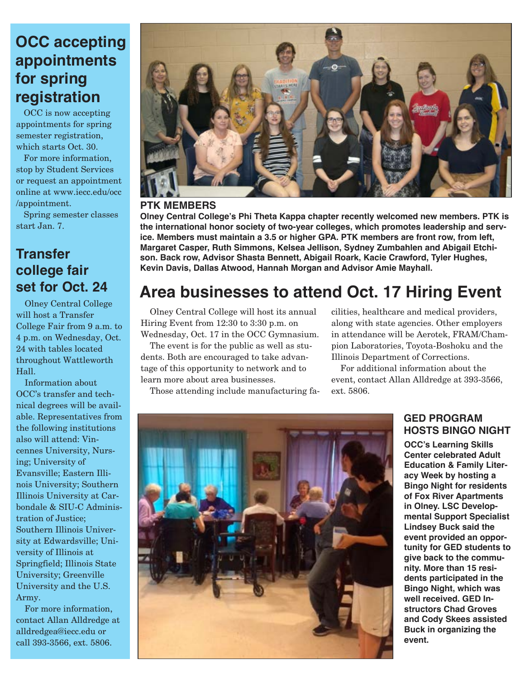## **OCC accepting appointments for spring registration**

OCC is now accepting appointments for spring semester registration, which starts Oct. 30.

For more information, stop by Student Services or request an appointment online at www.iecc.edu/occ /appointment.

Spring semester classes start Jan. 7.

### **Transfer college fair set for Oct. 24**

Olney Central College will host a Transfer College Fair from 9 a.m. to 4 p.m. on Wednesday, Oct. 24 with tables located throughout Wattleworth Hall.

Information about OCC's transfer and technical degrees will be available. Representatives from the following institutions also will attend: Vincennes University, Nursing; University of Evansville; Eastern Illinois University; Southern Illinois University at Carbondale & SIU-C Administration of Justice; Southern Illinois University at Edwardsville; University of Illinois at Springfield; Illinois State University; Greenville University and the U.S. Army.

For more information, contact Allan Alldredge at alldredgea@iecc.edu or call 393-3566, ext. 5806.



#### **PTK MEMBERS**

**Olney Central College's Phi Theta Kappa chapter recently welcomed new members. PTK is the international honor society of two-year colleges, which promotes leadership and service. Members must maintain a 3.5 or higher GPA. PTK members are front row, from left, Margaret Casper, Ruth Simmons, Kelsea Jellison, Sydney Zumbahlen and Abigail Etchison. Back row, Advisor Shasta Bennett, Abigail Roark, Kacie Crawford, Tyler Hughes, Kevin Davis, Dallas Atwood, Hannah Morgan and Advisor Amie Mayhall.**

## **Area businesses to attend Oct. 17 Hiring Event**

Olney Central College will host its annual Hiring Event from 12:30 to 3:30 p.m. on Wednesday, Oct. 17 in the OCC Gymnasium.

The event is for the public as well as students. Both are encouraged to take advantage of this opportunity to network and to learn more about area businesses.

Those attending include manufacturing fa-

cilities, healthcare and medical providers, along with state agencies. Other employers in attendance will be Aerotek, FRAM/Champion Laboratories, Toyota-Boshoku and the Illinois Department of Corrections.

For additional information about the event, contact Allan Alldredge at 393-3566, ext. 5806.



#### **GED PROGRAM HOSTS BINGO NIGHT**

**OCC's Learning Skills Center celebrated Adult Education & Family Literacy Week by hosting a Bingo Night for residents of Fox River Apartments in Olney. LSC Developmental Support Specialist Lindsey Buck said the event provided an opportunity for GED students to give back to the community. More than 15 residents participated in the Bingo Night, which was well received. GED Instructors Chad Groves and Cody Skees assisted Buck in organizing the event.**